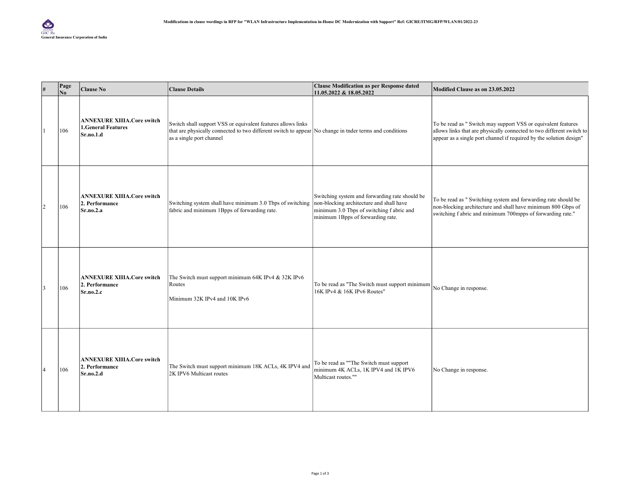| #              | Page<br>No. | <b>Clause No</b>                                                            | <b>Clause Details</b>                                                                                                                                                                             | <b>Clause Modification as per Response dated</b><br>11.05.2022 & 18.05.2022                                                                                                  | Modified Clause as on 23.05.2022                                                                                                                                                                              |
|----------------|-------------|-----------------------------------------------------------------------------|---------------------------------------------------------------------------------------------------------------------------------------------------------------------------------------------------|------------------------------------------------------------------------------------------------------------------------------------------------------------------------------|---------------------------------------------------------------------------------------------------------------------------------------------------------------------------------------------------------------|
|                | 106         | <b>ANNEXURE XIIIA.Core switch</b><br><b>1.General Features</b><br>Sr.no.1.d | Switch shall support VSS or equivalent features allows links<br>that are physically connected to two different switch to appear No change in the terms and conditions<br>as a single port channel |                                                                                                                                                                              | To be read as " Switch may support VSS or equivalent features<br>allows links that are physically connected to two different switch to<br>appear as a single port channel if required by the solution design" |
| $\overline{c}$ | 106         | <b>ANNEXURE XIIIA.Core switch</b><br>2. Performance<br>Sr.no.2.a            | Switching system shall have minimum 3.0 Tbps of switching<br>fabric and minimum 1Bpps of forwarding rate.                                                                                         | Switching system and forwarding rate should be<br>non-blocking architecture and shall have<br>minimum 3.0 Tbps of switching f abric and<br>minimum 1Bpps of forwarding rate. | To be read as " Switching system and forwarding rate should be<br>non-blocking architecture and shall have minimum 800 Gbps of<br>switching f abric and minimum 700mpps of forwarding rate."                  |
|                | 106         | <b>ANNEXURE XIIIA.Core switch</b><br>2. Performance<br>Sr.no.2.c            | The Switch must support minimum 64K IPv4 & 32K IPv6<br>Routes<br>Minimum 32K IPv4 and 10K IPv6                                                                                                    | To be read as "The Switch must support minimum<br>16K IPv4 & 16K IPv6 Routes"                                                                                                | No Change in response.                                                                                                                                                                                        |
| $\overline{4}$ | 106         | <b>ANNEXURE XIIIA.Core switch</b><br>2. Performance<br>Sr.no.2.d            | The Switch must support minimum 18K ACLs, 4K IPV4 and<br>2K IPV6 Multicast routes                                                                                                                 | To be read as ""The Switch must support<br>minimum 4K ACLs, 1K IPV4 and 1K IPV6<br>Multicast routes.""                                                                       | No Change in response.                                                                                                                                                                                        |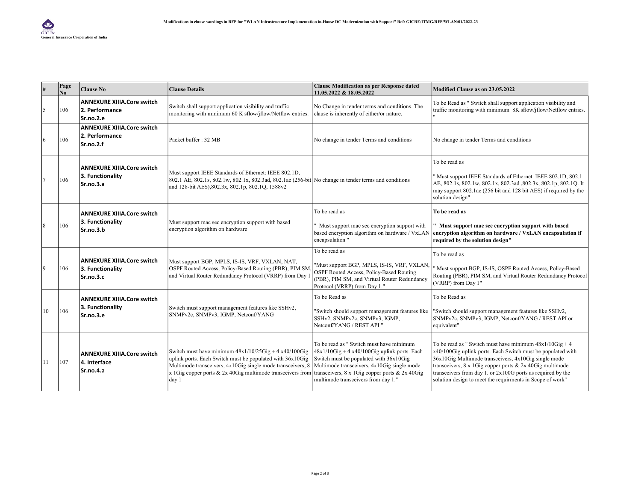|                | Page<br>N <sub>0</sub> | <b>Clause No</b>                                                   | <b>Clause Details</b>                                                                                                                                                                                                                                                                                                                                                  | <b>Clause Modification as per Response dated</b><br>11.05.2022 & 18.05.2022                                                                                                              | Modified Clause as on 23.05.2022                                                                                                                                                                                                                                                                                                                                                  |
|----------------|------------------------|--------------------------------------------------------------------|------------------------------------------------------------------------------------------------------------------------------------------------------------------------------------------------------------------------------------------------------------------------------------------------------------------------------------------------------------------------|------------------------------------------------------------------------------------------------------------------------------------------------------------------------------------------|-----------------------------------------------------------------------------------------------------------------------------------------------------------------------------------------------------------------------------------------------------------------------------------------------------------------------------------------------------------------------------------|
| 5              | 106                    | <b>ANNEXURE XIIIA.Core switch</b><br>2. Performance<br>Sr.no.2.e   | Switch shall support application visibility and traffic<br>monitoring with minimum 60 K sflow/jflow/Netflow entries.                                                                                                                                                                                                                                                   | No Change in tender terms and conditions. The<br>clause is inherently of either/or nature.                                                                                               | To be Read as " Switch shall support application visibility and<br>traffic monitoring with minimum 8K sflow/jflow/Netflow entries.                                                                                                                                                                                                                                                |
| 6              | 106                    | <b>ANNEXURE XIIIA.Core switch</b><br>2. Performance<br>Sr.no.2.f   | Packet buffer: 32 MB                                                                                                                                                                                                                                                                                                                                                   | No change in tender Terms and conditions                                                                                                                                                 | No change in tender Terms and conditions                                                                                                                                                                                                                                                                                                                                          |
| $\overline{7}$ | 106                    | <b>ANNEXURE XIIIA.Core switch</b><br>3. Functionality<br>Sr.no.3.a | Must support IEEE Standards of Ethernet: IEEE 802.1D,<br>802.1 AE, 802.1s, 802.1w, 802.1x, 802.3ad, 802.1ae (256-bit No change in tender terms and conditions<br>and 128-bit AES), 802.3x, 802.1p, 802.1Q, 1588v2                                                                                                                                                      |                                                                                                                                                                                          | To be read as<br>"Must support IEEE Standards of Ethernet: IEEE 802.1D, 802.1<br>AE, 802.1s, 802.1w, 802.1x, 802.3ad, 802.3x, 802.1p, 802.1Q. It<br>may support 802.1ae (256 bit and 128 bit AES) if required by the<br>solution design"                                                                                                                                          |
| 8              | 106                    | <b>ANNEXURE XIIIA.Core switch</b><br>3. Functionality<br>Sr.no.3.b | Must support mac sec encryption support with based<br>encryption algorithm on hardware                                                                                                                                                                                                                                                                                 | To be read as<br>" Must support mac sec encryption support with<br>encapsulation"                                                                                                        | To be read as<br>" Must support mac sec encryption support with based<br>based encryption algorithm on hardware / VxLAN encryption algorithm on hardware / VxLAN encapsulation if<br>required by the solution design"                                                                                                                                                             |
| 9              | 106                    | <b>ANNEXURE XIIIA.Core switch</b><br>3. Functionality<br>Sr.no.3.c | Must support BGP, MPLS, IS-IS, VRF, VXLAN, NAT,<br>OSPF Routed Access, Policy-Based Routing (PBR), PIM SM,<br>and Virtual Router Redundancy Protocol (VRRP) from Day 1                                                                                                                                                                                                 | To be read as<br>"Must support BGP, MPLS, IS-IS, VRF, VXLAN,<br>OSPF Routed Access, Policy-Based Routing<br>(PBR), PIM SM, and Virtual Router Redundancy<br>Protocol (VRRP) from Day 1." | To be read as<br>Must support BGP, IS-IS, OSPF Routed Access, Policy-Based<br>Routing (PBR), PIM SM, and Virtual Router Redundancy Protocol<br>(VRRP) from Day 1"                                                                                                                                                                                                                 |
| 10             | 106                    | <b>ANNEXURE XIIIA.Core switch</b><br>3. Functionality<br>Sr.no.3.e | Switch must support management features like SSHv2,<br>SNMPv2c, SNMPv3, IGMP, Netconf/YANG                                                                                                                                                                                                                                                                             | To be Read as<br>"Switch should support management features like<br>SSHv2, SNMPv2c, SNMPv3, IGMP,<br>Netconf/YANG / REST API "                                                           | To be Read as<br>"Switch should support management features like SSHv2,<br>SNMPv2c, SNMPv3, IGMP, Netconf/YANG / REST API or<br>equivalent"                                                                                                                                                                                                                                       |
| 11             | 107                    | <b>ANNEXURE XIIIA.Core switch</b><br>4. Interface<br>Sr.no.4.a     | Switch must have minimum $48x1/10/25Gig + 4x40/100Gig$<br>uplink ports. Each Switch must be populated with 36x10Gig<br>Multimode transceivers, 4x10Gig single mode transceivers, 8 Multimode transceivers, 4x10Gig single mode<br>$\vert x \vert$ 1 Gig copper ports & 2x 40 Gig multimode transceivers from transceivers, 8 x 1 Gig copper ports & 2x 40 Gig<br>day 1 | To be read as " Switch must have minimum<br>$48x1/10Gig + 4 x40/100Gig$ uplink ports. Each<br>Switch must be populated with 36x10Gig<br>multimode transceivers from day 1."              | To be read as " Switch must have minimum $48x1/10Gig + 4$<br>x40/100Gig uplink ports. Each Switch must be populated with<br>36x10Gig Multimode transceivers, 4x10Gig single mode<br>transceivers, $8 \times 1$ Gig copper ports & 2x 40 Gig multimode<br>transceivers from day 1. or 2x100G ports as required by the<br>solution design to meet the requirments in Scope of work" |